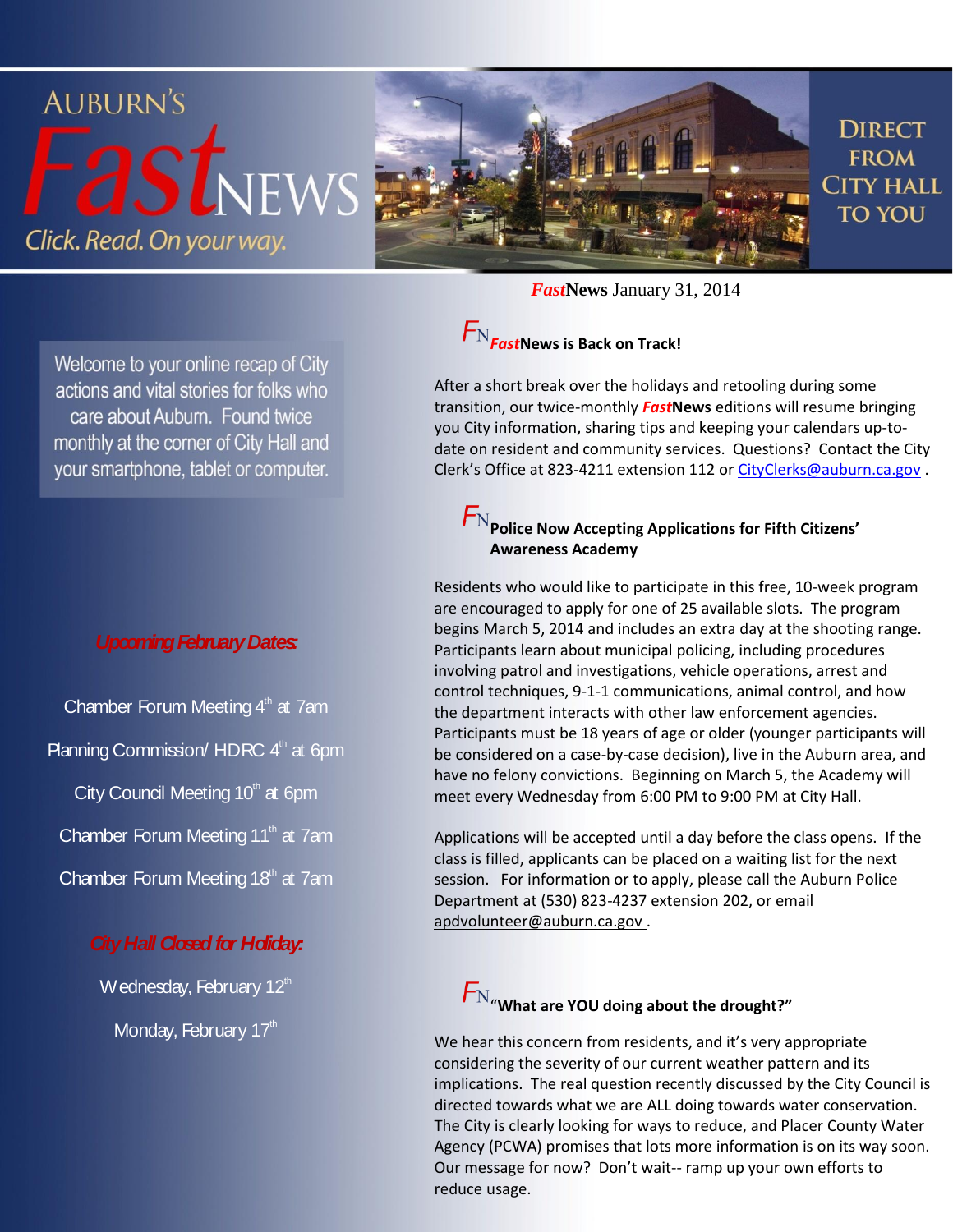

Welcome to your online recap of City actions and vital stories for folks who care about Auburn. Found twice monthly at the corner of City Hall and your smartphone, tablet or computer.

#### *Upcoming FebruaryDates:*

Chamber Forum Meeting  $4<sup>th</sup>$  at 7am Planning Commission/ HDRC 4<sup>th</sup> at 6pm City Council Meeting  $10<sup>th</sup>$  at 6pm Chamber Forum Meeting 11<sup>th</sup> at 7am Chamber Forum Meeting 18<sup>th</sup> at 7am

### *City Hall Closed for Holiday:*

Wednesday, February 12<sup>th</sup> Monday, February 17th

*Fast***News** January 31, 2014

## *Fast***News is Back on Track!**

After a short break over the holidays and retooling during some transition, our twice-monthly *Fast***News** editions will resume bringing you City information, sharing tips and keeping your calendars up-todate on resident and community services. Questions? Contact the City Clerk's Office at 823-4211 extension 112 or [CityClerks@auburn.ca.gov](mailto:CityClerks@auburn.ca.gov).

### $F_{\rm N}$  Police Now Accepting Applications for Fifth Citizens' **Awareness Academy**

Residents who would like to participate in this free, 10-week program are encouraged to apply for one of 25 available slots. The program begins March 5, 2014 and includes an extra day at the shooting range. Participants learn about municipal policing, including procedures involving patrol and investigations, vehicle operations, arrest and control techniques, 9-1-1 communications, animal control, and how the department interacts with other law enforcement agencies. Participants must be 18 years of age or older (younger participants will be considered on a case-by-case decision), live in the Auburn area, and have no felony convictions. Beginning on March 5, the Academy will meet every Wednesday from 6:00 PM to 9:00 PM at City Hall.

Applications will be accepted until a day before the class opens. If the class is filled, applicants can be placed on a waiting list for the next session. For information or to apply, please call the Auburn Police Department at (530) 823-4237 extension 202, or email [apdvolunteer@auburn.ca.gov](mailto:apdvolunteer@auburn.ca.gov) .

# $F_{\text{N}}$  what are YOU doing about the drought?"

We hear this concern from residents, and it's very appropriate considering the severity of our current weather pattern and its implications. The real question recently discussed by the City Council is directed towards what we are ALL doing towards water conservation. The City is clearly looking for ways to reduce, and Placer County Water Agency (PCWA) promises that lots more information is on its way soon. Our message for now? Don't wait-- ramp up your own efforts to reduce usage.